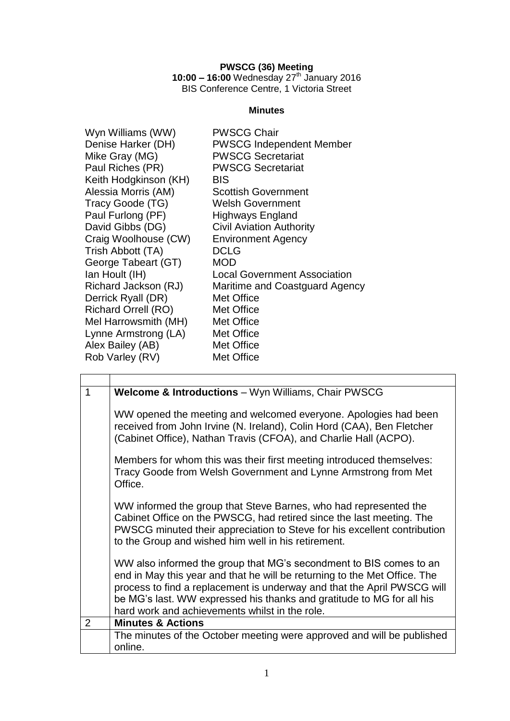### **PWSCG (36) Meeting**

**10:00 – 16:00** Wednesday 27 th January 2016 BIS Conference Centre, 1 Victoria Street

# **Minutes**

| Wyn Williams (WW)          | <b>PWSCG Chair</b>                  |
|----------------------------|-------------------------------------|
| Denise Harker (DH)         | <b>PWSCG Independent Member</b>     |
| Mike Gray (MG)             | <b>PWSCG Secretariat</b>            |
| Paul Riches (PR)           | <b>PWSCG Secretariat</b>            |
| Keith Hodgkinson (KH)      | <b>BIS</b>                          |
| Alessia Morris (AM)        | <b>Scottish Government</b>          |
| Tracy Goode (TG)           | <b>Welsh Government</b>             |
| Paul Furlong (PF)          | Highways England                    |
| David Gibbs (DG)           | <b>Civil Aviation Authority</b>     |
| Craig Woolhouse (CW)       | <b>Environment Agency</b>           |
| Trish Abbott (TA)          | <b>DCLG</b>                         |
| George Tabeart (GT)        | <b>MOD</b>                          |
| Ian Hoult (IH)             | <b>Local Government Association</b> |
| Richard Jackson (RJ)       | Maritime and Coastguard Agency      |
| Derrick Ryall (DR)         | Met Office                          |
| <b>Richard Orrell (RO)</b> | Met Office                          |
| Mel Harrowsmith (MH)       | Met Office                          |
| Lynne Armstrong (LA)       | Met Office                          |
| Alex Bailey (AB)           | Met Office                          |
| Rob Varley (RV)            | Met Office                          |
|                            |                                     |

| 1 | <b>Welcome &amp; Introductions</b> – Wyn Williams, Chair PWSCG                                                                                                                                                                                                                                                                                        |
|---|-------------------------------------------------------------------------------------------------------------------------------------------------------------------------------------------------------------------------------------------------------------------------------------------------------------------------------------------------------|
|   | WW opened the meeting and welcomed everyone. Apologies had been<br>received from John Irvine (N. Ireland), Colin Hord (CAA), Ben Fletcher<br>(Cabinet Office), Nathan Travis (CFOA), and Charlie Hall (ACPO).                                                                                                                                         |
|   | Members for whom this was their first meeting introduced themselves:<br>Tracy Goode from Welsh Government and Lynne Armstrong from Met<br>Office.                                                                                                                                                                                                     |
|   | WW informed the group that Steve Barnes, who had represented the<br>Cabinet Office on the PWSCG, had retired since the last meeting. The<br>PWSCG minuted their appreciation to Steve for his excellent contribution<br>to the Group and wished him well in his retirement.                                                                           |
|   | WW also informed the group that MG's secondment to BIS comes to an<br>end in May this year and that he will be returning to the Met Office. The<br>process to find a replacement is underway and that the April PWSCG will<br>be MG's last. WW expressed his thanks and gratitude to MG for all his<br>hard work and achievements whilst in the role. |
| 2 | <b>Minutes &amp; Actions</b>                                                                                                                                                                                                                                                                                                                          |
|   | The minutes of the October meeting were approved and will be published<br>online.                                                                                                                                                                                                                                                                     |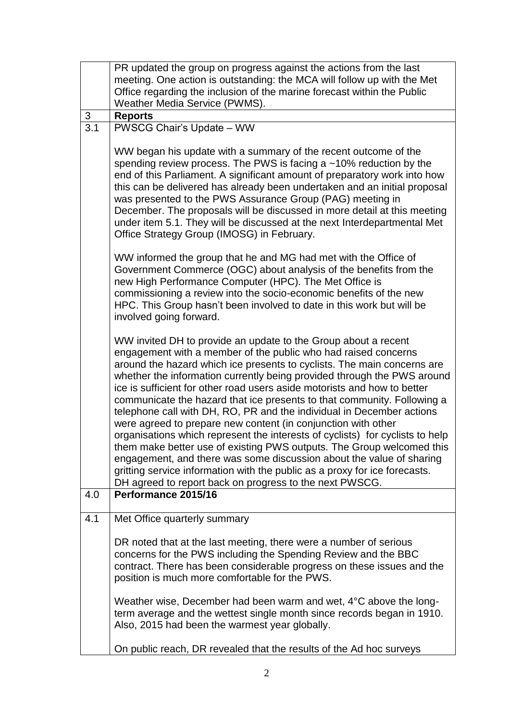|     | PR updated the group on progress against the actions from the last<br>meeting. One action is outstanding: the MCA will follow up with the Met<br>Office regarding the inclusion of the marine forecast within the Public<br>Weather Media Service (PWMS).                                                                                                                                                                                                                                                                                                                                                                                                                                                                                                                                                                                                                                                                                                          |
|-----|--------------------------------------------------------------------------------------------------------------------------------------------------------------------------------------------------------------------------------------------------------------------------------------------------------------------------------------------------------------------------------------------------------------------------------------------------------------------------------------------------------------------------------------------------------------------------------------------------------------------------------------------------------------------------------------------------------------------------------------------------------------------------------------------------------------------------------------------------------------------------------------------------------------------------------------------------------------------|
| 3   | <b>Reports</b>                                                                                                                                                                                                                                                                                                                                                                                                                                                                                                                                                                                                                                                                                                                                                                                                                                                                                                                                                     |
| 3.1 | PWSCG Chair's Update - WW                                                                                                                                                                                                                                                                                                                                                                                                                                                                                                                                                                                                                                                                                                                                                                                                                                                                                                                                          |
|     | WW began his update with a summary of the recent outcome of the<br>spending review process. The PWS is facing a $~10\%$ reduction by the<br>end of this Parliament. A significant amount of preparatory work into how<br>this can be delivered has already been undertaken and an initial proposal<br>was presented to the PWS Assurance Group (PAG) meeting in<br>December. The proposals will be discussed in more detail at this meeting<br>under item 5.1. They will be discussed at the next Interdepartmental Met<br>Office Strategy Group (IMOSG) in February.                                                                                                                                                                                                                                                                                                                                                                                              |
|     | WW informed the group that he and MG had met with the Office of<br>Government Commerce (OGC) about analysis of the benefits from the<br>new High Performance Computer (HPC). The Met Office is<br>commissioning a review into the socio-economic benefits of the new<br>HPC. This Group hasn't been involved to date in this work but will be<br>involved going forward.                                                                                                                                                                                                                                                                                                                                                                                                                                                                                                                                                                                           |
|     | WW invited DH to provide an update to the Group about a recent<br>engagement with a member of the public who had raised concerns<br>around the hazard which ice presents to cyclists. The main concerns are<br>whether the information currently being provided through the PWS around<br>ice is sufficient for other road users aside motorists and how to better<br>communicate the hazard that ice presents to that community. Following a<br>telephone call with DH, RO, PR and the individual in December actions<br>were agreed to prepare new content (in conjunction with other<br>organisations which represent the interests of cyclists) for cyclists to help<br>them make better use of existing PWS outputs. The Group welcomed this<br>engagement, and there was some discussion about the value of sharing<br>gritting service information with the public as a proxy for ice forecasts.<br>DH agreed to report back on progress to the next PWSCG. |
| 4.0 | Performance 2015/16                                                                                                                                                                                                                                                                                                                                                                                                                                                                                                                                                                                                                                                                                                                                                                                                                                                                                                                                                |
| 4.1 | Met Office quarterly summary                                                                                                                                                                                                                                                                                                                                                                                                                                                                                                                                                                                                                                                                                                                                                                                                                                                                                                                                       |
|     | DR noted that at the last meeting, there were a number of serious<br>concerns for the PWS including the Spending Review and the BBC<br>contract. There has been considerable progress on these issues and the<br>position is much more comfortable for the PWS.                                                                                                                                                                                                                                                                                                                                                                                                                                                                                                                                                                                                                                                                                                    |
|     | Weather wise, December had been warm and wet, 4°C above the long-<br>term average and the wettest single month since records began in 1910.<br>Also, 2015 had been the warmest year globally.                                                                                                                                                                                                                                                                                                                                                                                                                                                                                                                                                                                                                                                                                                                                                                      |
|     | On public reach, DR revealed that the results of the Ad hoc surveys                                                                                                                                                                                                                                                                                                                                                                                                                                                                                                                                                                                                                                                                                                                                                                                                                                                                                                |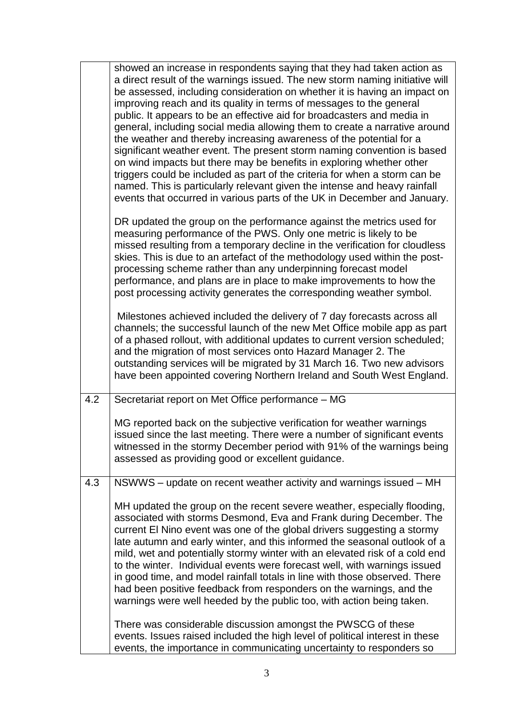|     | showed an increase in respondents saying that they had taken action as<br>a direct result of the warnings issued. The new storm naming initiative will<br>be assessed, including consideration on whether it is having an impact on<br>improving reach and its quality in terms of messages to the general<br>public. It appears to be an effective aid for broadcasters and media in<br>general, including social media allowing them to create a narrative around<br>the weather and thereby increasing awareness of the potential for a<br>significant weather event. The present storm naming convention is based<br>on wind impacts but there may be benefits in exploring whether other<br>triggers could be included as part of the criteria for when a storm can be<br>named. This is particularly relevant given the intense and heavy rainfall<br>events that occurred in various parts of the UK in December and January. |
|-----|--------------------------------------------------------------------------------------------------------------------------------------------------------------------------------------------------------------------------------------------------------------------------------------------------------------------------------------------------------------------------------------------------------------------------------------------------------------------------------------------------------------------------------------------------------------------------------------------------------------------------------------------------------------------------------------------------------------------------------------------------------------------------------------------------------------------------------------------------------------------------------------------------------------------------------------|
|     | DR updated the group on the performance against the metrics used for<br>measuring performance of the PWS. Only one metric is likely to be<br>missed resulting from a temporary decline in the verification for cloudless<br>skies. This is due to an artefact of the methodology used within the post-<br>processing scheme rather than any underpinning forecast model<br>performance, and plans are in place to make improvements to how the<br>post processing activity generates the corresponding weather symbol.                                                                                                                                                                                                                                                                                                                                                                                                               |
|     | Milestones achieved included the delivery of 7 day forecasts across all<br>channels; the successful launch of the new Met Office mobile app as part<br>of a phased rollout, with additional updates to current version scheduled;<br>and the migration of most services onto Hazard Manager 2. The<br>outstanding services will be migrated by 31 March 16. Two new advisors<br>have been appointed covering Northern Ireland and South West England.                                                                                                                                                                                                                                                                                                                                                                                                                                                                                |
| 4.2 | Secretariat report on Met Office performance - MG<br>MG reported back on the subjective verification for weather warnings<br>issued since the last meeting. There were a number of significant events<br>witnessed in the stormy December period with 91% of the warnings being<br>assessed as providing good or excellent guidance.                                                                                                                                                                                                                                                                                                                                                                                                                                                                                                                                                                                                 |
| 4.3 | NSWWS - update on recent weather activity and warnings issued - MH<br>MH updated the group on the recent severe weather, especially flooding,<br>associated with storms Desmond, Eva and Frank during December. The<br>current El Nino event was one of the global drivers suggesting a stormy<br>late autumn and early winter, and this informed the seasonal outlook of a<br>mild, wet and potentially stormy winter with an elevated risk of a cold end<br>to the winter. Individual events were forecast well, with warnings issued<br>in good time, and model rainfall totals in line with those observed. There<br>had been positive feedback from responders on the warnings, and the<br>warnings were well heeded by the public too, with action being taken.                                                                                                                                                                |
|     | There was considerable discussion amongst the PWSCG of these<br>events. Issues raised included the high level of political interest in these<br>events, the importance in communicating uncertainty to responders so                                                                                                                                                                                                                                                                                                                                                                                                                                                                                                                                                                                                                                                                                                                 |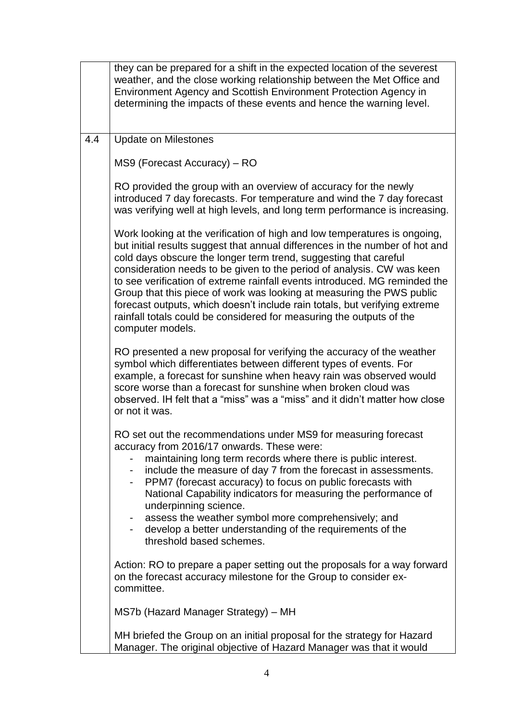|     | they can be prepared for a shift in the expected location of the severest<br>weather, and the close working relationship between the Met Office and<br>Environment Agency and Scottish Environment Protection Agency in<br>determining the impacts of these events and hence the warning level.                                                                                                                                                                                                                                                                                                                                          |
|-----|------------------------------------------------------------------------------------------------------------------------------------------------------------------------------------------------------------------------------------------------------------------------------------------------------------------------------------------------------------------------------------------------------------------------------------------------------------------------------------------------------------------------------------------------------------------------------------------------------------------------------------------|
| 4.4 | <b>Update on Milestones</b>                                                                                                                                                                                                                                                                                                                                                                                                                                                                                                                                                                                                              |
|     | MS9 (Forecast Accuracy) - RO                                                                                                                                                                                                                                                                                                                                                                                                                                                                                                                                                                                                             |
|     | RO provided the group with an overview of accuracy for the newly<br>introduced 7 day forecasts. For temperature and wind the 7 day forecast<br>was verifying well at high levels, and long term performance is increasing.                                                                                                                                                                                                                                                                                                                                                                                                               |
|     | Work looking at the verification of high and low temperatures is ongoing,<br>but initial results suggest that annual differences in the number of hot and<br>cold days obscure the longer term trend, suggesting that careful<br>consideration needs to be given to the period of analysis. CW was keen<br>to see verification of extreme rainfall events introduced. MG reminded the<br>Group that this piece of work was looking at measuring the PWS public<br>forecast outputs, which doesn't include rain totals, but verifying extreme<br>rainfall totals could be considered for measuring the outputs of the<br>computer models. |
|     | RO presented a new proposal for verifying the accuracy of the weather<br>symbol which differentiates between different types of events. For<br>example, a forecast for sunshine when heavy rain was observed would<br>score worse than a forecast for sunshine when broken cloud was<br>observed. IH felt that a "miss" was a "miss" and it didn't matter how close<br>or not it was.                                                                                                                                                                                                                                                    |
|     | RO set out the recommendations under MS9 for measuring forecast<br>accuracy from 2016/17 onwards. These were:<br>maintaining long term records where there is public interest.<br>include the measure of day 7 from the forecast in assessments.<br>PPM7 (forecast accuracy) to focus on public forecasts with<br>۰<br>National Capability indicators for measuring the performance of<br>underpinning science.<br>assess the weather symbol more comprehensively; and<br>develop a better understanding of the requirements of the<br>$\sim$<br>threshold based schemes.                                                                |
|     | Action: RO to prepare a paper setting out the proposals for a way forward<br>on the forecast accuracy milestone for the Group to consider ex-<br>committee.                                                                                                                                                                                                                                                                                                                                                                                                                                                                              |
|     | MS7b (Hazard Manager Strategy) - MH                                                                                                                                                                                                                                                                                                                                                                                                                                                                                                                                                                                                      |
|     | MH briefed the Group on an initial proposal for the strategy for Hazard<br>Manager. The original objective of Hazard Manager was that it would                                                                                                                                                                                                                                                                                                                                                                                                                                                                                           |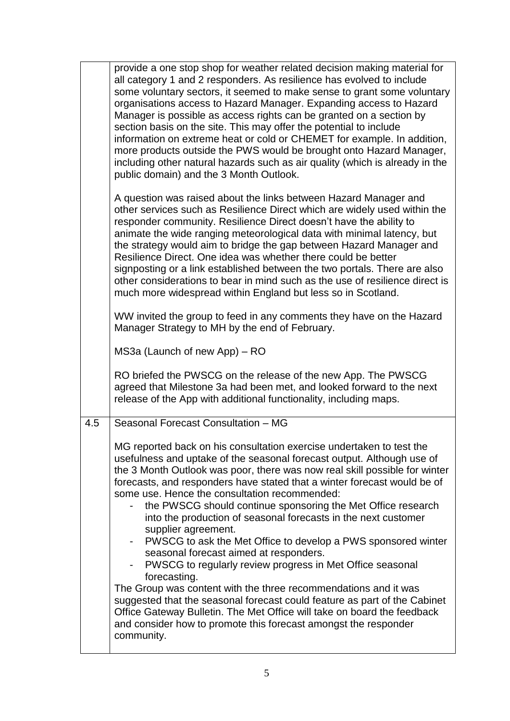|     | provide a one stop shop for weather related decision making material for<br>all category 1 and 2 responders. As resilience has evolved to include<br>some voluntary sectors, it seemed to make sense to grant some voluntary<br>organisations access to Hazard Manager. Expanding access to Hazard<br>Manager is possible as access rights can be granted on a section by<br>section basis on the site. This may offer the potential to include<br>information on extreme heat or cold or CHEMET for example. In addition,<br>more products outside the PWS would be brought onto Hazard Manager,<br>including other natural hazards such as air quality (which is already in the<br>public domain) and the 3 Month Outlook.                                                                                                                                                                                                                                                                                           |
|-----|------------------------------------------------------------------------------------------------------------------------------------------------------------------------------------------------------------------------------------------------------------------------------------------------------------------------------------------------------------------------------------------------------------------------------------------------------------------------------------------------------------------------------------------------------------------------------------------------------------------------------------------------------------------------------------------------------------------------------------------------------------------------------------------------------------------------------------------------------------------------------------------------------------------------------------------------------------------------------------------------------------------------|
|     | A question was raised about the links between Hazard Manager and<br>other services such as Resilience Direct which are widely used within the<br>responder community. Resilience Direct doesn't have the ability to<br>animate the wide ranging meteorological data with minimal latency, but<br>the strategy would aim to bridge the gap between Hazard Manager and<br>Resilience Direct. One idea was whether there could be better<br>signposting or a link established between the two portals. There are also<br>other considerations to bear in mind such as the use of resilience direct is<br>much more widespread within England but less so in Scotland.                                                                                                                                                                                                                                                                                                                                                     |
|     | WW invited the group to feed in any comments they have on the Hazard<br>Manager Strategy to MH by the end of February.                                                                                                                                                                                                                                                                                                                                                                                                                                                                                                                                                                                                                                                                                                                                                                                                                                                                                                 |
|     | MS3a (Launch of new App) – RO                                                                                                                                                                                                                                                                                                                                                                                                                                                                                                                                                                                                                                                                                                                                                                                                                                                                                                                                                                                          |
|     | RO briefed the PWSCG on the release of the new App. The PWSCG<br>agreed that Milestone 3a had been met, and looked forward to the next<br>release of the App with additional functionality, including maps.                                                                                                                                                                                                                                                                                                                                                                                                                                                                                                                                                                                                                                                                                                                                                                                                            |
| 4.5 | Seasonal Forecast Consultation - MG                                                                                                                                                                                                                                                                                                                                                                                                                                                                                                                                                                                                                                                                                                                                                                                                                                                                                                                                                                                    |
|     | MG reported back on his consultation exercise undertaken to test the<br>usefulness and uptake of the seasonal forecast output. Although use of<br>the 3 Month Outlook was poor, there was now real skill possible for winter<br>forecasts, and responders have stated that a winter forecast would be of<br>some use. Hence the consultation recommended:<br>the PWSCG should continue sponsoring the Met Office research<br>into the production of seasonal forecasts in the next customer<br>supplier agreement.<br>PWSCG to ask the Met Office to develop a PWS sponsored winter<br>seasonal forecast aimed at responders.<br>PWSCG to regularly review progress in Met Office seasonal<br>forecasting.<br>The Group was content with the three recommendations and it was<br>suggested that the seasonal forecast could feature as part of the Cabinet<br>Office Gateway Bulletin. The Met Office will take on board the feedback<br>and consider how to promote this forecast amongst the responder<br>community. |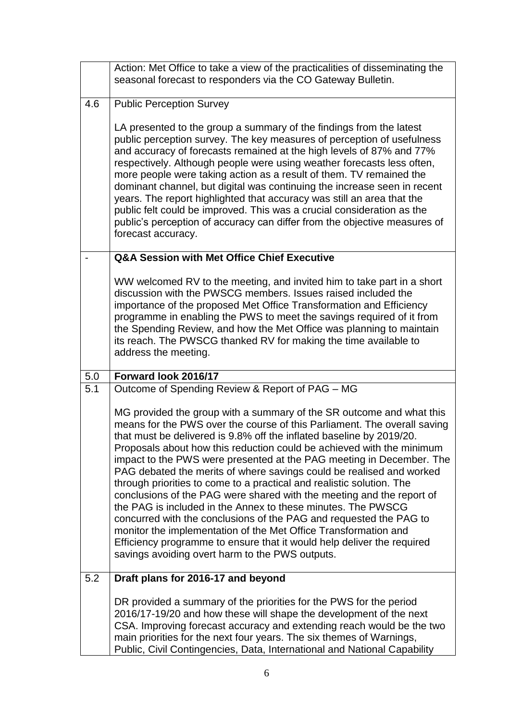|         | Action: Met Office to take a view of the practicalities of disseminating the<br>seasonal forecast to responders via the CO Gateway Bulletin.                                                                                                                                                                                                                                                                                                                                                                                                                                                                                                                                                                                                                                                                                                                                                                                              |
|---------|-------------------------------------------------------------------------------------------------------------------------------------------------------------------------------------------------------------------------------------------------------------------------------------------------------------------------------------------------------------------------------------------------------------------------------------------------------------------------------------------------------------------------------------------------------------------------------------------------------------------------------------------------------------------------------------------------------------------------------------------------------------------------------------------------------------------------------------------------------------------------------------------------------------------------------------------|
| 4.6     | <b>Public Perception Survey</b>                                                                                                                                                                                                                                                                                                                                                                                                                                                                                                                                                                                                                                                                                                                                                                                                                                                                                                           |
|         | LA presented to the group a summary of the findings from the latest<br>public perception survey. The key measures of perception of usefulness<br>and accuracy of forecasts remained at the high levels of 87% and 77%<br>respectively. Although people were using weather forecasts less often,<br>more people were taking action as a result of them. TV remained the<br>dominant channel, but digital was continuing the increase seen in recent<br>years. The report highlighted that accuracy was still an area that the<br>public felt could be improved. This was a crucial consideration as the<br>public's perception of accuracy can differ from the objective measures of<br>forecast accuracy.                                                                                                                                                                                                                                 |
|         | Q&A Session with Met Office Chief Executive                                                                                                                                                                                                                                                                                                                                                                                                                                                                                                                                                                                                                                                                                                                                                                                                                                                                                               |
|         | WW welcomed RV to the meeting, and invited him to take part in a short<br>discussion with the PWSCG members. Issues raised included the<br>importance of the proposed Met Office Transformation and Efficiency<br>programme in enabling the PWS to meet the savings required of it from<br>the Spending Review, and how the Met Office was planning to maintain<br>its reach. The PWSCG thanked RV for making the time available to<br>address the meeting.                                                                                                                                                                                                                                                                                                                                                                                                                                                                               |
| $5.0\,$ | Forward look 2016/17                                                                                                                                                                                                                                                                                                                                                                                                                                                                                                                                                                                                                                                                                                                                                                                                                                                                                                                      |
| 5.1     | Outcome of Spending Review & Report of PAG - MG                                                                                                                                                                                                                                                                                                                                                                                                                                                                                                                                                                                                                                                                                                                                                                                                                                                                                           |
|         | MG provided the group with a summary of the SR outcome and what this<br>means for the PWS over the course of this Parliament. The overall saving<br>that must be delivered is 9.8% off the inflated baseline by 2019/20.<br>Proposals about how this reduction could be achieved with the minimum<br>impact to the PWS were presented at the PAG meeting in December. The<br>PAG debated the merits of where savings could be realised and worked<br>through priorities to come to a practical and realistic solution. The<br>conclusions of the PAG were shared with the meeting and the report of<br>the PAG is included in the Annex to these minutes. The PWSCG<br>concurred with the conclusions of the PAG and requested the PAG to<br>monitor the implementation of the Met Office Transformation and<br>Efficiency programme to ensure that it would help deliver the required<br>savings avoiding overt harm to the PWS outputs. |
| 5.2     | Draft plans for 2016-17 and beyond                                                                                                                                                                                                                                                                                                                                                                                                                                                                                                                                                                                                                                                                                                                                                                                                                                                                                                        |
|         | DR provided a summary of the priorities for the PWS for the period<br>2016/17-19/20 and how these will shape the development of the next<br>CSA. Improving forecast accuracy and extending reach would be the two<br>main priorities for the next four years. The six themes of Warnings,<br>Public, Civil Contingencies, Data, International and National Capability                                                                                                                                                                                                                                                                                                                                                                                                                                                                                                                                                                     |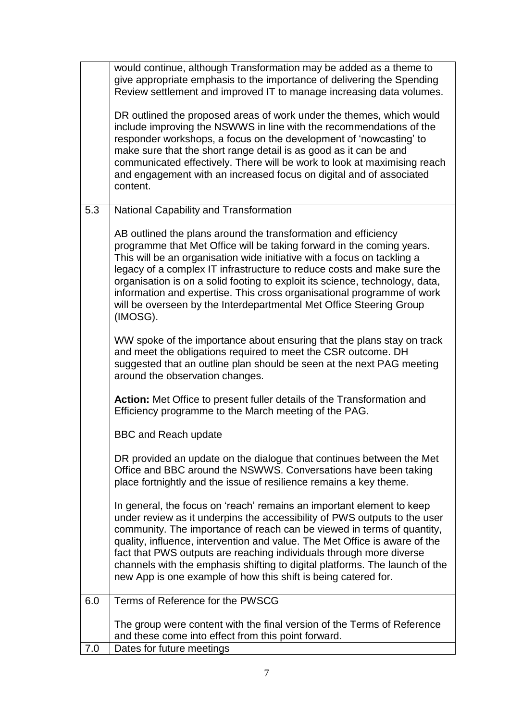|     | would continue, although Transformation may be added as a theme to<br>give appropriate emphasis to the importance of delivering the Spending<br>Review settlement and improved IT to manage increasing data volumes.<br>DR outlined the proposed areas of work under the themes, which would<br>include improving the NSWWS in line with the recommendations of the<br>responder workshops, a focus on the development of 'nowcasting' to<br>make sure that the short range detail is as good as it can be and<br>communicated effectively. There will be work to look at maximising reach<br>and engagement with an increased focus on digital and of associated<br>content. |
|-----|-------------------------------------------------------------------------------------------------------------------------------------------------------------------------------------------------------------------------------------------------------------------------------------------------------------------------------------------------------------------------------------------------------------------------------------------------------------------------------------------------------------------------------------------------------------------------------------------------------------------------------------------------------------------------------|
| 5.3 | <b>National Capability and Transformation</b>                                                                                                                                                                                                                                                                                                                                                                                                                                                                                                                                                                                                                                 |
|     | AB outlined the plans around the transformation and efficiency<br>programme that Met Office will be taking forward in the coming years.<br>This will be an organisation wide initiative with a focus on tackling a<br>legacy of a complex IT infrastructure to reduce costs and make sure the<br>organisation is on a solid footing to exploit its science, technology, data,<br>information and expertise. This cross organisational programme of work<br>will be overseen by the Interdepartmental Met Office Steering Group<br>(IMOSG).                                                                                                                                    |
|     | WW spoke of the importance about ensuring that the plans stay on track<br>and meet the obligations required to meet the CSR outcome. DH<br>suggested that an outline plan should be seen at the next PAG meeting<br>around the observation changes.                                                                                                                                                                                                                                                                                                                                                                                                                           |
|     | Action: Met Office to present fuller details of the Transformation and<br>Efficiency programme to the March meeting of the PAG.                                                                                                                                                                                                                                                                                                                                                                                                                                                                                                                                               |
|     | <b>BBC and Reach update</b>                                                                                                                                                                                                                                                                                                                                                                                                                                                                                                                                                                                                                                                   |
|     | DR provided an update on the dialogue that continues between the Met<br>Office and BBC around the NSWWS. Conversations have been taking<br>place fortnightly and the issue of resilience remains a key theme.                                                                                                                                                                                                                                                                                                                                                                                                                                                                 |
|     | In general, the focus on 'reach' remains an important element to keep<br>under review as it underpins the accessibility of PWS outputs to the user<br>community. The importance of reach can be viewed in terms of quantity,<br>quality, influence, intervention and value. The Met Office is aware of the<br>fact that PWS outputs are reaching individuals through more diverse<br>channels with the emphasis shifting to digital platforms. The launch of the<br>new App is one example of how this shift is being catered for.                                                                                                                                            |
| 6.0 | Terms of Reference for the PWSCG                                                                                                                                                                                                                                                                                                                                                                                                                                                                                                                                                                                                                                              |
|     | The group were content with the final version of the Terms of Reference<br>and these come into effect from this point forward.                                                                                                                                                                                                                                                                                                                                                                                                                                                                                                                                                |
| 7.0 | Dates for future meetings                                                                                                                                                                                                                                                                                                                                                                                                                                                                                                                                                                                                                                                     |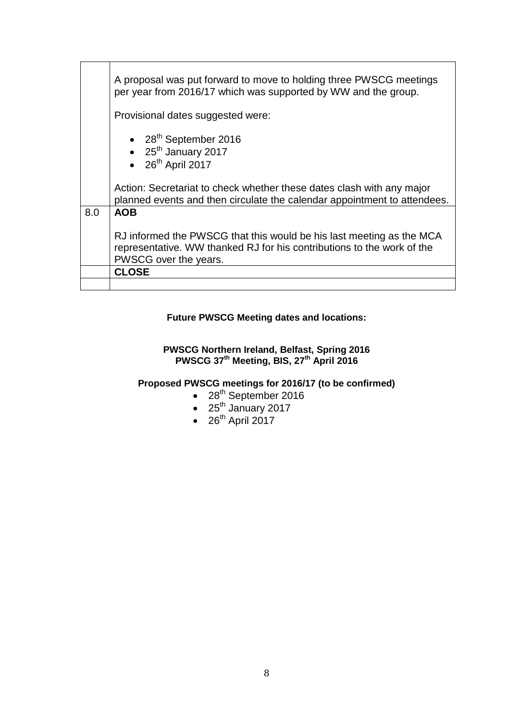|     | A proposal was put forward to move to holding three PWSCG meetings<br>per year from 2016/17 which was supported by WW and the group.                                    |
|-----|-------------------------------------------------------------------------------------------------------------------------------------------------------------------------|
|     | Provisional dates suggested were:                                                                                                                                       |
|     | $\bullet$ 28 <sup>th</sup> September 2016<br>$\bullet$ 25 <sup>th</sup> January 2017<br>$\bullet$ 26 <sup>th</sup> April 2017                                           |
|     | Action: Secretariat to check whether these dates clash with any major<br>planned events and then circulate the calendar appointment to attendees.                       |
| 8.0 | <b>AOB</b>                                                                                                                                                              |
|     | RJ informed the PWSCG that this would be his last meeting as the MCA<br>representative. WW thanked RJ for his contributions to the work of the<br>PWSCG over the years. |
|     | <b>CLOSE</b>                                                                                                                                                            |
|     |                                                                                                                                                                         |

## **Future PWSCG Meeting dates and locations:**

#### **PWSCG Northern Ireland, Belfast, Spring 2016 PWSCG 37th Meeting, BIS, 27th April 2016**

#### **Proposed PWSCG meetings for 2016/17 (to be confirmed)**

- $\bullet$  28<sup>th</sup> September 2016
- $\bullet$  25<sup>th</sup> January 2017
- $\bullet$  26<sup>th</sup> April 2017